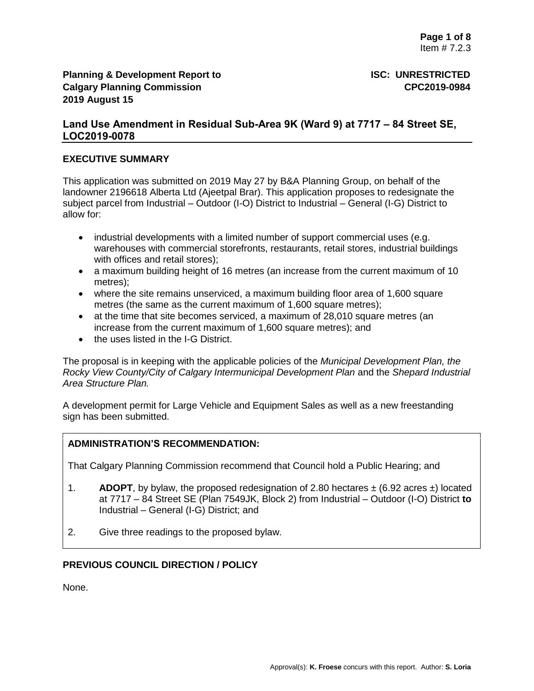# **Land Use Amendment in Residual Sub-Area 9K (Ward 9) at 7717 – 84 Street SE, LOC2019-0078**

## **EXECUTIVE SUMMARY**

This application was submitted on 2019 May 27 by B&A Planning Group, on behalf of the landowner 2196618 Alberta Ltd (Ajeetpal Brar). This application proposes to redesignate the subject parcel from Industrial – Outdoor (I-O) District to Industrial – General (I-G) District to allow for:

- industrial developments with a limited number of support commercial uses (e.g. warehouses with commercial storefronts, restaurants, retail stores, industrial buildings with offices and retail stores);
- a maximum building height of 16 metres (an increase from the current maximum of 10 metres);
- where the site remains unserviced, a maximum building floor area of 1,600 square metres (the same as the current maximum of 1,600 square metres);
- at the time that site becomes serviced, a maximum of 28,010 square metres (an increase from the current maximum of 1,600 square metres); and
- the uses listed in the I-G District.

The proposal is in keeping with the applicable policies of the *Municipal Development Plan, the Rocky View County/City of Calgary Intermunicipal Development Plan* and the *Shepard Industrial Area Structure Plan.*

A development permit for Large Vehicle and Equipment Sales as well as a new freestanding sign has been submitted.

## **ADMINISTRATION'S RECOMMENDATION:**

That Calgary Planning Commission recommend that Council hold a Public Hearing; and

- 1. **ADOPT**, by bylaw, the proposed redesignation of 2.80 hectares  $\pm$  (6.92 acres  $\pm$ ) located at 7717 – 84 Street SE (Plan 7549JK, Block 2) from Industrial – Outdoor (I-O) District **to**  Industrial – General (I-G) District; and
- 2. Give three readings to the proposed bylaw.

## **PREVIOUS COUNCIL DIRECTION / POLICY**

None.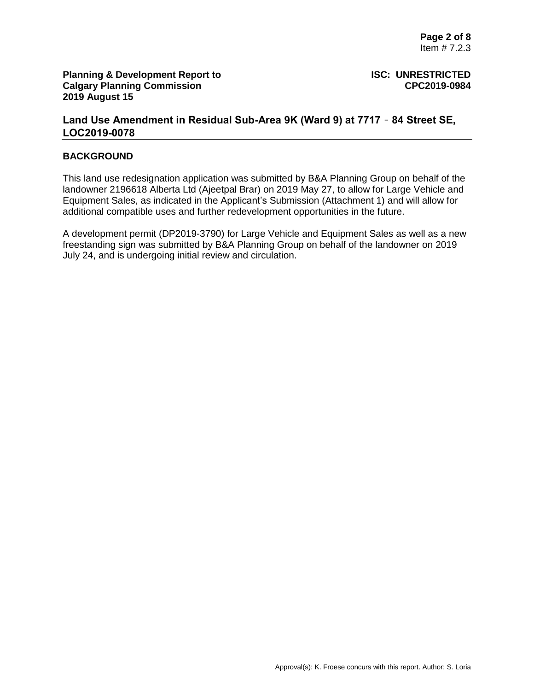# **Land Use Amendment in Residual Sub-Area 9K (Ward 9) at 7717** – **84 Street SE, LOC2019-0078**

### **BACKGROUND**

This land use redesignation application was submitted by B&A Planning Group on behalf of the landowner 2196618 Alberta Ltd (Ajeetpal Brar) on 2019 May 27, to allow for Large Vehicle and Equipment Sales, as indicated in the Applicant's Submission (Attachment 1) and will allow for additional compatible uses and further redevelopment opportunities in the future.

A development permit (DP2019-3790) for Large Vehicle and Equipment Sales as well as a new freestanding sign was submitted by B&A Planning Group on behalf of the landowner on 2019 July 24, and is undergoing initial review and circulation.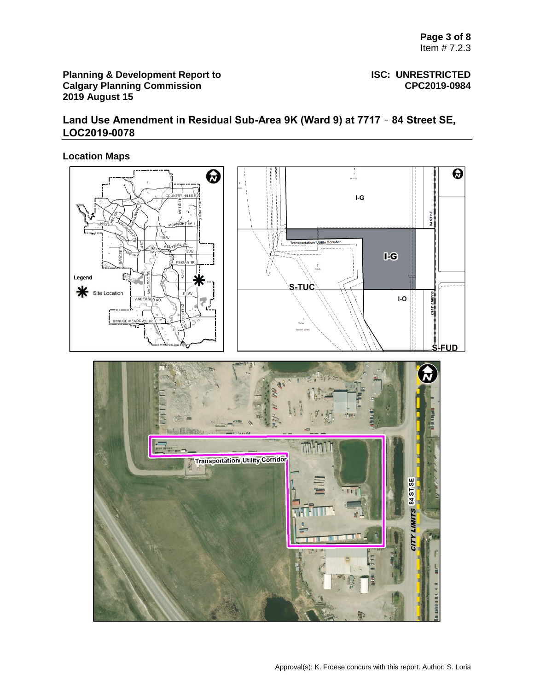# **Land Use Amendment in Residual Sub-Area 9K (Ward 9) at 7717** – **84 Street SE, LOC2019-0078**

# **Location Maps**

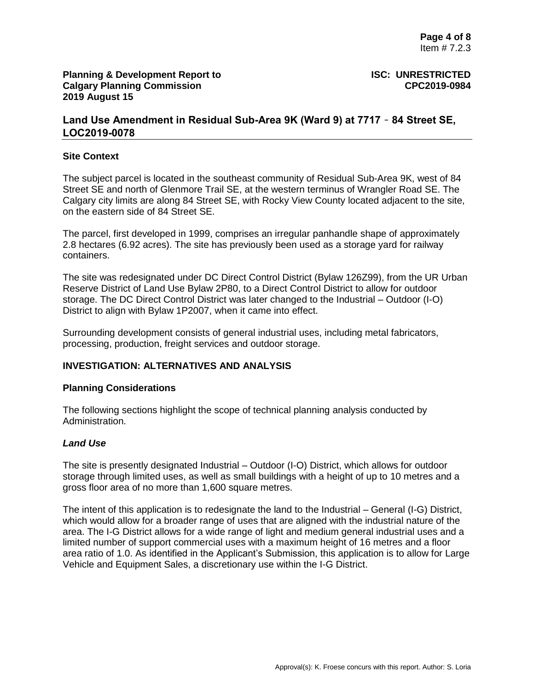# **Land Use Amendment in Residual Sub-Area 9K (Ward 9) at 7717** – **84 Street SE, LOC2019-0078**

#### **Site Context**

The subject parcel is located in the southeast community of Residual Sub-Area 9K, west of 84 Street SE and north of Glenmore Trail SE, at the western terminus of Wrangler Road SE. The Calgary city limits are along 84 Street SE, with Rocky View County located adjacent to the site, on the eastern side of 84 Street SE.

The parcel, first developed in 1999, comprises an irregular panhandle shape of approximately 2.8 hectares (6.92 acres). The site has previously been used as a storage yard for railway containers.

The site was redesignated under DC Direct Control District (Bylaw 126Z99), from the UR Urban Reserve District of Land Use Bylaw 2P80, to a Direct Control District to allow for outdoor storage. The DC Direct Control District was later changed to the Industrial – Outdoor (I-O) District to align with Bylaw 1P2007, when it came into effect.

Surrounding development consists of general industrial uses, including metal fabricators, processing, production, freight services and outdoor storage.

### **INVESTIGATION: ALTERNATIVES AND ANALYSIS**

#### **Planning Considerations**

The following sections highlight the scope of technical planning analysis conducted by Administration.

#### *Land Use*

The site is presently designated Industrial – Outdoor (I-O) District, which allows for outdoor storage through limited uses, as well as small buildings with a height of up to 10 metres and a gross floor area of no more than 1,600 square metres.

The intent of this application is to redesignate the land to the Industrial – General (I-G) District, which would allow for a broader range of uses that are aligned with the industrial nature of the area. The I-G District allows for a wide range of light and medium general industrial uses and a limited number of support commercial uses with a maximum height of 16 metres and a floor area ratio of 1.0. As identified in the Applicant's Submission, this application is to allow for Large Vehicle and Equipment Sales, a discretionary use within the I-G District.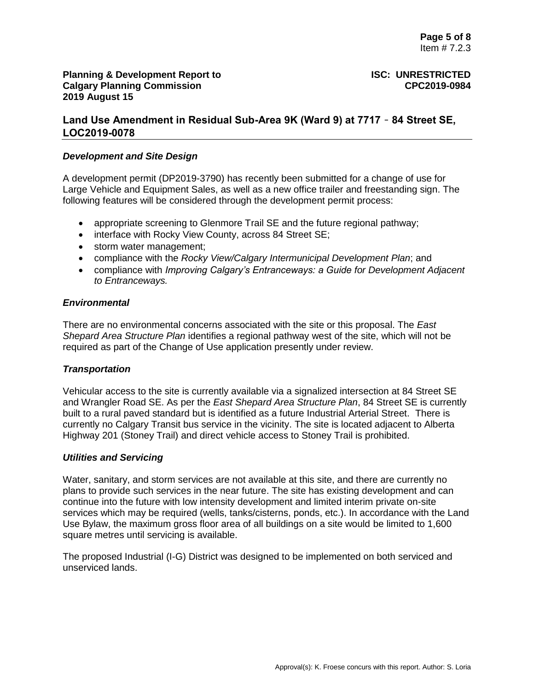# **Land Use Amendment in Residual Sub-Area 9K (Ward 9) at 7717** – **84 Street SE, LOC2019-0078**

### *Development and Site Design*

A development permit (DP2019-3790) has recently been submitted for a change of use for Large Vehicle and Equipment Sales, as well as a new office trailer and freestanding sign. The following features will be considered through the development permit process:

- appropriate screening to Glenmore Trail SE and the future regional pathway;
- interface with Rocky View County, across 84 Street SE;
- storm water management;
- compliance with the *Rocky View/Calgary Intermunicipal Development Plan*; and
- compliance with *Improving Calgary's Entranceways: a Guide for Development Adjacent to Entranceways.*

## *Environmental*

There are no environmental concerns associated with the site or this proposal. The *East Shepard Area Structure Plan* identifies a regional pathway west of the site, which will not be required as part of the Change of Use application presently under review.

## *Transportation*

Vehicular access to the site is currently available via a signalized intersection at 84 Street SE and Wrangler Road SE. As per the *East Shepard Area Structure Plan*, 84 Street SE is currently built to a rural paved standard but is identified as a future Industrial Arterial Street. There is currently no Calgary Transit bus service in the vicinity. The site is located adjacent to Alberta Highway 201 (Stoney Trail) and direct vehicle access to Stoney Trail is prohibited.

#### *Utilities and Servicing*

Water, sanitary, and storm services are not available at this site, and there are currently no plans to provide such services in the near future. The site has existing development and can continue into the future with low intensity development and limited interim private on-site services which may be required (wells, tanks/cisterns, ponds, etc.). In accordance with the Land Use Bylaw, the maximum gross floor area of all buildings on a site would be limited to 1,600 square metres until servicing is available.

The proposed Industrial (I-G) District was designed to be implemented on both serviced and unserviced lands.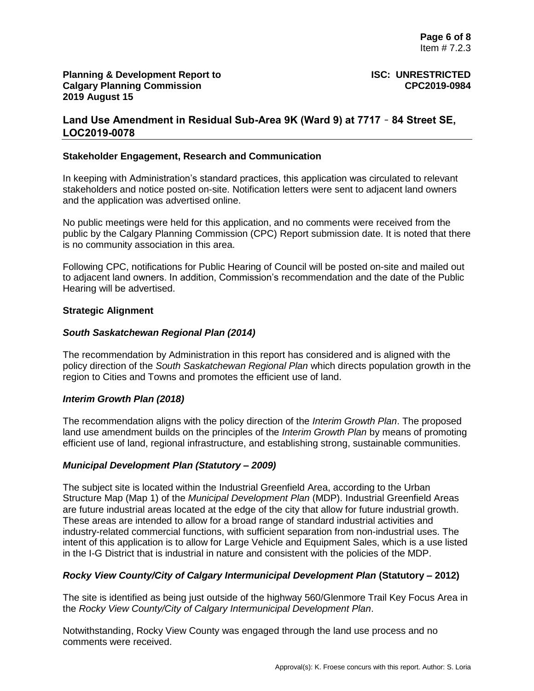# **Land Use Amendment in Residual Sub-Area 9K (Ward 9) at 7717** – **84 Street SE, LOC2019-0078**

### **Stakeholder Engagement, Research and Communication**

In keeping with Administration's standard practices, this application was circulated to relevant stakeholders and notice posted on-site. Notification letters were sent to adjacent land owners and the application was advertised online.

No public meetings were held for this application, and no comments were received from the public by the Calgary Planning Commission (CPC) Report submission date. It is noted that there is no community association in this area.

Following CPC, notifications for Public Hearing of Council will be posted on-site and mailed out to adjacent land owners. In addition, Commission's recommendation and the date of the Public Hearing will be advertised.

#### **Strategic Alignment**

## *South Saskatchewan Regional Plan (2014)*

The recommendation by Administration in this report has considered and is aligned with the policy direction of the *South Saskatchewan Regional Plan* which directs population growth in the region to Cities and Towns and promotes the efficient use of land.

## *Interim Growth Plan (2018)*

The recommendation aligns with the policy direction of the *Interim Growth Plan*. The proposed land use amendment builds on the principles of the *Interim Growth Plan* by means of promoting efficient use of land, regional infrastructure, and establishing strong, sustainable communities.

## *Municipal Development Plan (Statutory – 2009)*

The subject site is located within the Industrial Greenfield Area, according to the Urban Structure Map (Map 1) of the *Municipal Development Plan* (MDP). Industrial Greenfield Areas are future industrial areas located at the edge of the city that allow for future industrial growth. These areas are intended to allow for a broad range of standard industrial activities and industry-related commercial functions, with sufficient separation from non-industrial uses. The intent of this application is to allow for Large Vehicle and Equipment Sales, which is a use listed in the I-G District that is industrial in nature and consistent with the policies of the MDP.

## *Rocky View County/City of Calgary Intermunicipal Development Plan* **(Statutory – 2012)**

The site is identified as being just outside of the highway 560/Glenmore Trail Key Focus Area in the *Rocky View County/City of Calgary Intermunicipal Development Plan*.

Notwithstanding, Rocky View County was engaged through the land use process and no comments were received.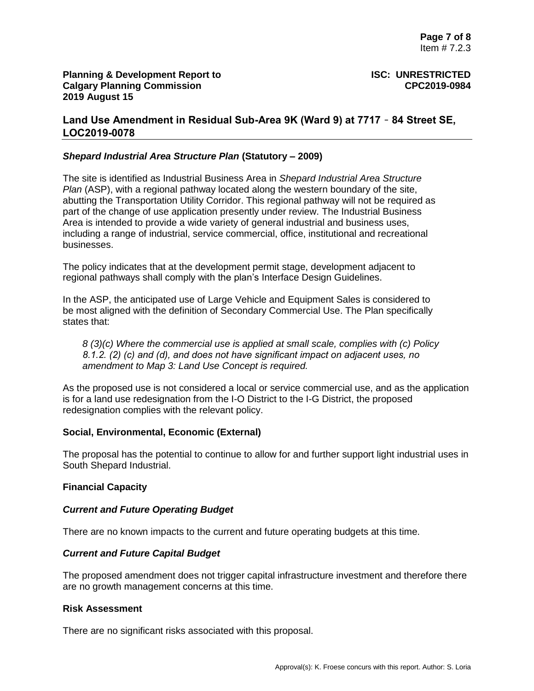# **Land Use Amendment in Residual Sub-Area 9K (Ward 9) at 7717** – **84 Street SE, LOC2019-0078**

## *Shepard Industrial Area Structure Plan* **(Statutory – 2009)**

The site is identified as Industrial Business Area in *Shepard Industrial Area Structure Plan* (ASP), with a regional pathway located along the western boundary of the site, abutting the Transportation Utility Corridor. This regional pathway will not be required as part of the change of use application presently under review. The Industrial Business Area is intended to provide a wide variety of general industrial and business uses, including a range of industrial, service commercial, office, institutional and recreational businesses.

The policy indicates that at the development permit stage, development adjacent to regional pathways shall comply with the plan's Interface Design Guidelines.

In the ASP, the anticipated use of Large Vehicle and Equipment Sales is considered to be most aligned with the definition of Secondary Commercial Use. The Plan specifically states that:

*8 (3)(c) Where the commercial use is applied at small scale, complies with (c) Policy 8.1.2. (2) (c) and (d), and does not have significant impact on adjacent uses, no amendment to Map 3: Land Use Concept is required.* 

As the proposed use is not considered a local or service commercial use, and as the application is for a land use redesignation from the I-O District to the I-G District, the proposed redesignation complies with the relevant policy.

#### **Social, Environmental, Economic (External)**

The proposal has the potential to continue to allow for and further support light industrial uses in South Shepard Industrial.

#### **Financial Capacity**

#### *Current and Future Operating Budget*

There are no known impacts to the current and future operating budgets at this time.

#### *Current and Future Capital Budget*

The proposed amendment does not trigger capital infrastructure investment and therefore there are no growth management concerns at this time.

#### **Risk Assessment**

There are no significant risks associated with this proposal.